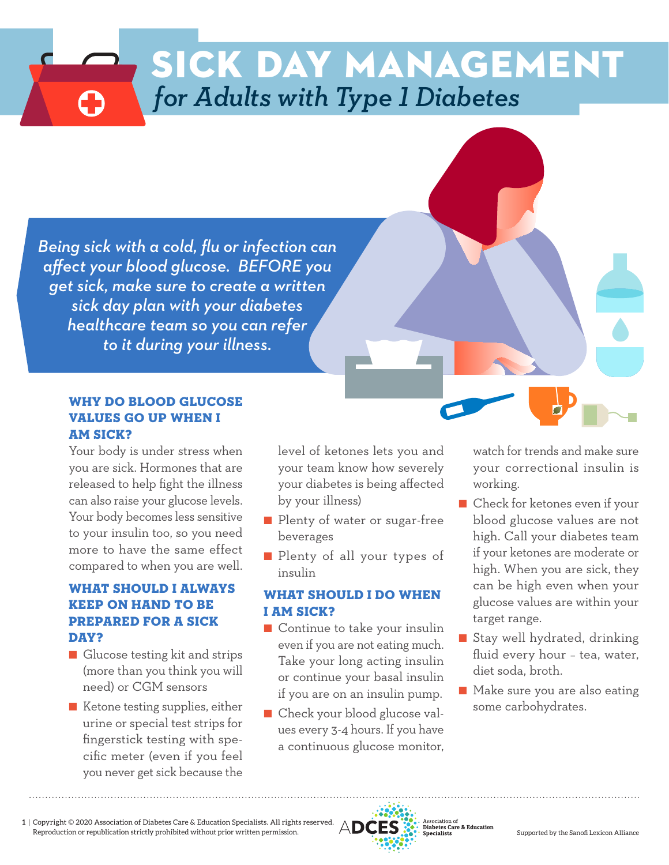# *for Adults with Type 1 Diabetes* sick day management

sick day management

*for Children with Type 1 Diabetes*

*Hyperosmolar Syndrome (HHS) to it during your illness.* hyperglycemic *sick day plan with your diabetes* M *healthcare team so you can refer Being sick with a cold, flu or infection can affect your blood glucose. BEFORE you get sick, make sure to create a written*

#### WHY DO BLOOD GLUCOSE VALUES GO UP WHEN I AM SICK?

Your body is under stress when you are sick. Hormones that are released to help fight the illness can also raise your glucose levels. Your body becomes less sensitive to your insulin too, so you need more to have the same effect compared to when you are well.

## WHAT SHOULD I ALWAYS KEEP ON HAND TO BE PREPARED FOR A SICK DAY?

- Glucose testing kit and strips (more than you think you will need) or CGM sensors
- Ketone testing supplies, either urine or special test strips for fingerstick testing with specific meter (even if you feel you never get sick because the

level of ketones lets you and your team know how severely your diabetes is being affected by your illness)

- Plenty of water or sugar-free beverages
- Plenty of all your types of insulin

## WHAT SHOULD I DO WHEN I AM SICK?

- Continue to take your insulin even if you are not eating much. Take your long acting insulin or continue your basal insulin if you are on an insulin pump.
- Check your blood glucose values every 3-4 hours. If you have a continuous glucose monitor,

watch for trends and make sure your correctional insulin is working.

- Check for ketones even if your blood glucose values are not high. Call your diabetes team if your ketones are moderate or high. When you are sick, they can be high even when your glucose values are within your target range.
- Stay well hydrated, drinking fluid every hour – tea, water, diet soda, broth.
- Make sure you are also eating some carbohydrates.